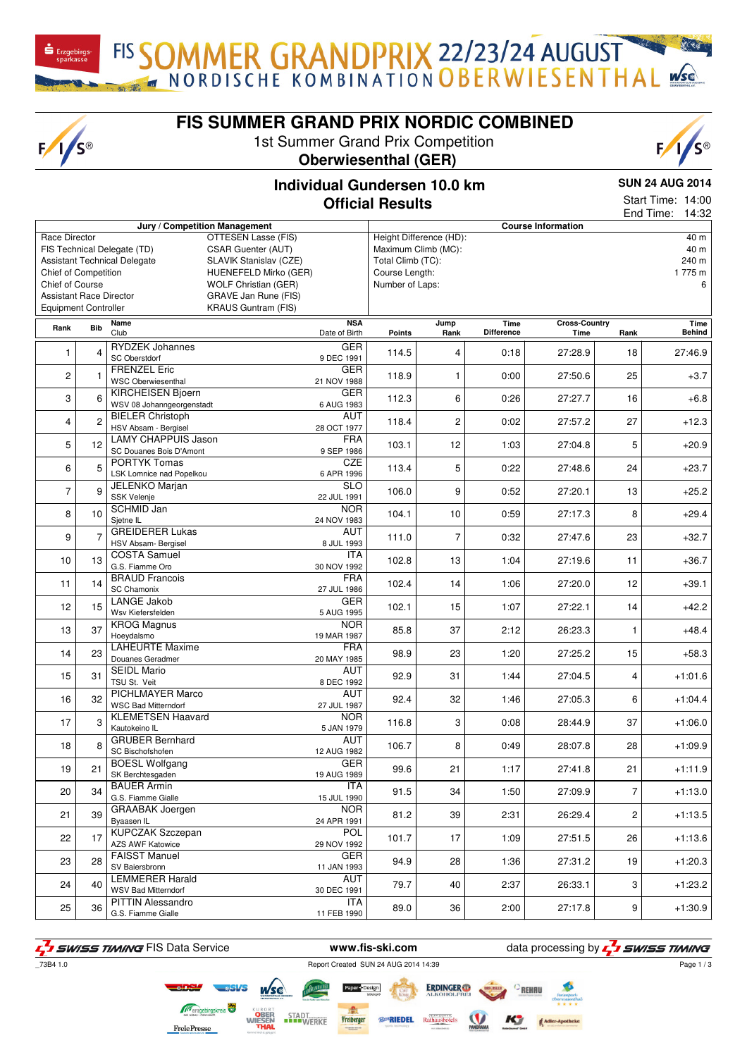$F/I/S^{\circledcirc}$ 

**FIS SUMMER GRAND PRIX NORDIC COMBINED**

1st Summer Grand Prix Competition



FIS SOMMER GRANDPRIX 22/23/24 AUGUST



## **Individual Gundersen 10.0 km Official Results**

**SUN 24 AUG 2014**

| End Time:<br>Jury / Competition Management<br><b>Course Information</b><br>OTTESEN Lasse (FIS)<br>Height Difference (HD):<br>Race Director<br>FIS Technical Delegate (TD)<br><b>CSAR Guenter (AUT)</b><br>Maximum Climb (MC):<br>Total Climb (TC):<br><b>Assistant Technical Delegate</b><br>SLAVIK Stanislav (CZE)<br>Chief of Competition<br>HUENEFELD Mirko (GER)<br>Course Length:<br>Chief of Course<br><b>WOLF Christian (GER)</b><br>Number of Laps:<br><b>Assistant Race Director</b><br>GRAVE Jan Rune (FIS)<br><b>Equipment Controller</b><br><b>KRAUS Guntram (FIS)</b><br><b>NSA</b><br><b>Time</b><br><b>Cross-Country</b><br>Name<br>Jump<br><b>Bib</b><br>Rank<br>Club<br><b>Difference</b><br>Date of Birth<br><b>Points</b><br>Rank<br>Time<br>Rank<br><b>RYDZEK Johannes</b><br><b>GER</b><br>$\overline{4}$<br>114.5<br>4<br>0:18<br>27:28.9<br>1<br>18<br><b>SC Oberstdorf</b><br>9 DEC 1991<br><b>FRENZEL Eric</b><br><b>GER</b><br>2<br>118.9<br>25<br>1<br>0:00<br>27:50.6<br>1<br>WSC Oberwiesenthal<br>21 NOV 1988<br><b>KIRCHEISEN Bjoern</b><br><b>GER</b><br>3<br>6<br>6<br>112.3<br>16<br>0:26<br>27:27.7<br>WSV 08 Johanngeorgenstadt<br>6 AUG 1983<br><b>BIELER Christoph</b><br>AUT<br>$\overline{2}$<br>$\overline{c}$<br>4<br>27<br>118.4<br>0:02<br>27:57.2<br>HSV Absam - Bergisel<br>28 OCT 1977<br><b>LAMY CHAPPUIS Jason</b><br><b>FRA</b><br>5<br>12<br>12<br>103.1<br>1:03<br>27:04.8<br>5<br>9 SEP 1986<br>SC Douanes Bois D'Amont<br><b>CZE</b><br><b>PORTYK Tomas</b><br>5<br>5<br>6<br>113.4<br>0:22<br>27:48.6<br>24<br>LSK Lomnice nad Popelkou<br>6 APR 1996<br><b>SLO</b><br>JELENKO Marjan<br>$\overline{7}$<br>9<br>9<br>106.0<br>0:52<br>27:20.1<br>13<br><b>SSK Velenje</b><br>22 JUL 1991<br><b>NOR</b><br>SCHMID Jan<br>10<br>8<br>104.1<br>10<br>0:59<br>27:17.3<br>8<br>Sjetne IL<br>24 NOV 1983<br><b>GREIDERER Lukas</b><br>AUT<br>$\overline{7}$<br>9<br>$\overline{7}$<br>0:32<br>23<br>111.0<br>27:47.6<br>HSV Absam- Bergisel<br>8 JUL 1993<br><b>COSTA Samuel</b><br>ITA<br>13<br>10<br>13<br>102.8<br>1:04<br>27:19.6<br>11<br>G.S. Fiamme Oro<br>30 NOV 1992<br><b>BRAUD Francois</b><br><b>FRA</b><br>14<br>11<br>102.4<br>14<br>27:20.0<br>12<br>1:06<br><b>SC Chamonix</b><br>27 JUL 1986<br><b>LANGE Jakob</b><br><b>GER</b><br>15<br>12<br>102.1<br>15<br>27:22.1<br>14<br>1:07<br>Wsv Kiefersfelden<br>5 AUG 1995<br><b>KROG Magnus</b><br><b>NOR</b><br>37<br>13<br>85.8<br>37<br>1<br>2:12<br>26:23.3<br>Hoeydalsmo<br>19 MAR 1987<br><b>LAHEURTE Maxime</b><br><b>FRA</b><br>14<br>23<br>98.9<br>23<br>1:20<br>27:25.2<br>15<br>Douanes Geradmer<br>20 MAY 1985<br><b>SEIDL Mario</b><br><b>AUT</b><br>15<br>31<br>92.9<br>31<br>27:04.5<br>4<br>1:44 |
|----------------------------------------------------------------------------------------------------------------------------------------------------------------------------------------------------------------------------------------------------------------------------------------------------------------------------------------------------------------------------------------------------------------------------------------------------------------------------------------------------------------------------------------------------------------------------------------------------------------------------------------------------------------------------------------------------------------------------------------------------------------------------------------------------------------------------------------------------------------------------------------------------------------------------------------------------------------------------------------------------------------------------------------------------------------------------------------------------------------------------------------------------------------------------------------------------------------------------------------------------------------------------------------------------------------------------------------------------------------------------------------------------------------------------------------------------------------------------------------------------------------------------------------------------------------------------------------------------------------------------------------------------------------------------------------------------------------------------------------------------------------------------------------------------------------------------------------------------------------------------------------------------------------------------------------------------------------------------------------------------------------------------------------------------------------------------------------------------------------------------------------------------------------------------------------------------------------------------------------------------------------------------------------------------------------------------------------------------------------------------------------------------------------------------------------------------------------------------------------------------------------------------------------------------------------------------------------------------------------------------------------------------------------------------------------------------------------------------------|
|                                                                                                                                                                                                                                                                                                                                                                                                                                                                                                                                                                                                                                                                                                                                                                                                                                                                                                                                                                                                                                                                                                                                                                                                                                                                                                                                                                                                                                                                                                                                                                                                                                                                                                                                                                                                                                                                                                                                                                                                                                                                                                                                                                                                                                                                                                                                                                                                                                                                                                                                                                                                                                                                                                                                  |
|                                                                                                                                                                                                                                                                                                                                                                                                                                                                                                                                                                                                                                                                                                                                                                                                                                                                                                                                                                                                                                                                                                                                                                                                                                                                                                                                                                                                                                                                                                                                                                                                                                                                                                                                                                                                                                                                                                                                                                                                                                                                                                                                                                                                                                                                                                                                                                                                                                                                                                                                                                                                                                                                                                                                  |
|                                                                                                                                                                                                                                                                                                                                                                                                                                                                                                                                                                                                                                                                                                                                                                                                                                                                                                                                                                                                                                                                                                                                                                                                                                                                                                                                                                                                                                                                                                                                                                                                                                                                                                                                                                                                                                                                                                                                                                                                                                                                                                                                                                                                                                                                                                                                                                                                                                                                                                                                                                                                                                                                                                                                  |
|                                                                                                                                                                                                                                                                                                                                                                                                                                                                                                                                                                                                                                                                                                                                                                                                                                                                                                                                                                                                                                                                                                                                                                                                                                                                                                                                                                                                                                                                                                                                                                                                                                                                                                                                                                                                                                                                                                                                                                                                                                                                                                                                                                                                                                                                                                                                                                                                                                                                                                                                                                                                                                                                                                                                  |
|                                                                                                                                                                                                                                                                                                                                                                                                                                                                                                                                                                                                                                                                                                                                                                                                                                                                                                                                                                                                                                                                                                                                                                                                                                                                                                                                                                                                                                                                                                                                                                                                                                                                                                                                                                                                                                                                                                                                                                                                                                                                                                                                                                                                                                                                                                                                                                                                                                                                                                                                                                                                                                                                                                                                  |
|                                                                                                                                                                                                                                                                                                                                                                                                                                                                                                                                                                                                                                                                                                                                                                                                                                                                                                                                                                                                                                                                                                                                                                                                                                                                                                                                                                                                                                                                                                                                                                                                                                                                                                                                                                                                                                                                                                                                                                                                                                                                                                                                                                                                                                                                                                                                                                                                                                                                                                                                                                                                                                                                                                                                  |
|                                                                                                                                                                                                                                                                                                                                                                                                                                                                                                                                                                                                                                                                                                                                                                                                                                                                                                                                                                                                                                                                                                                                                                                                                                                                                                                                                                                                                                                                                                                                                                                                                                                                                                                                                                                                                                                                                                                                                                                                                                                                                                                                                                                                                                                                                                                                                                                                                                                                                                                                                                                                                                                                                                                                  |
|                                                                                                                                                                                                                                                                                                                                                                                                                                                                                                                                                                                                                                                                                                                                                                                                                                                                                                                                                                                                                                                                                                                                                                                                                                                                                                                                                                                                                                                                                                                                                                                                                                                                                                                                                                                                                                                                                                                                                                                                                                                                                                                                                                                                                                                                                                                                                                                                                                                                                                                                                                                                                                                                                                                                  |
|                                                                                                                                                                                                                                                                                                                                                                                                                                                                                                                                                                                                                                                                                                                                                                                                                                                                                                                                                                                                                                                                                                                                                                                                                                                                                                                                                                                                                                                                                                                                                                                                                                                                                                                                                                                                                                                                                                                                                                                                                                                                                                                                                                                                                                                                                                                                                                                                                                                                                                                                                                                                                                                                                                                                  |
|                                                                                                                                                                                                                                                                                                                                                                                                                                                                                                                                                                                                                                                                                                                                                                                                                                                                                                                                                                                                                                                                                                                                                                                                                                                                                                                                                                                                                                                                                                                                                                                                                                                                                                                                                                                                                                                                                                                                                                                                                                                                                                                                                                                                                                                                                                                                                                                                                                                                                                                                                                                                                                                                                                                                  |
|                                                                                                                                                                                                                                                                                                                                                                                                                                                                                                                                                                                                                                                                                                                                                                                                                                                                                                                                                                                                                                                                                                                                                                                                                                                                                                                                                                                                                                                                                                                                                                                                                                                                                                                                                                                                                                                                                                                                                                                                                                                                                                                                                                                                                                                                                                                                                                                                                                                                                                                                                                                                                                                                                                                                  |
|                                                                                                                                                                                                                                                                                                                                                                                                                                                                                                                                                                                                                                                                                                                                                                                                                                                                                                                                                                                                                                                                                                                                                                                                                                                                                                                                                                                                                                                                                                                                                                                                                                                                                                                                                                                                                                                                                                                                                                                                                                                                                                                                                                                                                                                                                                                                                                                                                                                                                                                                                                                                                                                                                                                                  |
|                                                                                                                                                                                                                                                                                                                                                                                                                                                                                                                                                                                                                                                                                                                                                                                                                                                                                                                                                                                                                                                                                                                                                                                                                                                                                                                                                                                                                                                                                                                                                                                                                                                                                                                                                                                                                                                                                                                                                                                                                                                                                                                                                                                                                                                                                                                                                                                                                                                                                                                                                                                                                                                                                                                                  |
|                                                                                                                                                                                                                                                                                                                                                                                                                                                                                                                                                                                                                                                                                                                                                                                                                                                                                                                                                                                                                                                                                                                                                                                                                                                                                                                                                                                                                                                                                                                                                                                                                                                                                                                                                                                                                                                                                                                                                                                                                                                                                                                                                                                                                                                                                                                                                                                                                                                                                                                                                                                                                                                                                                                                  |
|                                                                                                                                                                                                                                                                                                                                                                                                                                                                                                                                                                                                                                                                                                                                                                                                                                                                                                                                                                                                                                                                                                                                                                                                                                                                                                                                                                                                                                                                                                                                                                                                                                                                                                                                                                                                                                                                                                                                                                                                                                                                                                                                                                                                                                                                                                                                                                                                                                                                                                                                                                                                                                                                                                                                  |
|                                                                                                                                                                                                                                                                                                                                                                                                                                                                                                                                                                                                                                                                                                                                                                                                                                                                                                                                                                                                                                                                                                                                                                                                                                                                                                                                                                                                                                                                                                                                                                                                                                                                                                                                                                                                                                                                                                                                                                                                                                                                                                                                                                                                                                                                                                                                                                                                                                                                                                                                                                                                                                                                                                                                  |
|                                                                                                                                                                                                                                                                                                                                                                                                                                                                                                                                                                                                                                                                                                                                                                                                                                                                                                                                                                                                                                                                                                                                                                                                                                                                                                                                                                                                                                                                                                                                                                                                                                                                                                                                                                                                                                                                                                                                                                                                                                                                                                                                                                                                                                                                                                                                                                                                                                                                                                                                                                                                                                                                                                                                  |
|                                                                                                                                                                                                                                                                                                                                                                                                                                                                                                                                                                                                                                                                                                                                                                                                                                                                                                                                                                                                                                                                                                                                                                                                                                                                                                                                                                                                                                                                                                                                                                                                                                                                                                                                                                                                                                                                                                                                                                                                                                                                                                                                                                                                                                                                                                                                                                                                                                                                                                                                                                                                                                                                                                                                  |
|                                                                                                                                                                                                                                                                                                                                                                                                                                                                                                                                                                                                                                                                                                                                                                                                                                                                                                                                                                                                                                                                                                                                                                                                                                                                                                                                                                                                                                                                                                                                                                                                                                                                                                                                                                                                                                                                                                                                                                                                                                                                                                                                                                                                                                                                                                                                                                                                                                                                                                                                                                                                                                                                                                                                  |
| TSU St. Veit<br>8 DEC 1992                                                                                                                                                                                                                                                                                                                                                                                                                                                                                                                                                                                                                                                                                                                                                                                                                                                                                                                                                                                                                                                                                                                                                                                                                                                                                                                                                                                                                                                                                                                                                                                                                                                                                                                                                                                                                                                                                                                                                                                                                                                                                                                                                                                                                                                                                                                                                                                                                                                                                                                                                                                                                                                                                                       |
| PICHLMAYER Marco<br>AUT<br>32<br>16<br>92.4<br>32<br>6<br>1:46<br>27:05.3<br><b>WSC Bad Mitterndorf</b><br>27 JUL 1987                                                                                                                                                                                                                                                                                                                                                                                                                                                                                                                                                                                                                                                                                                                                                                                                                                                                                                                                                                                                                                                                                                                                                                                                                                                                                                                                                                                                                                                                                                                                                                                                                                                                                                                                                                                                                                                                                                                                                                                                                                                                                                                                                                                                                                                                                                                                                                                                                                                                                                                                                                                                           |
| <b>KLEMETSEN Haavard</b><br><b>NOR</b><br>3<br>3<br>17<br>37<br>116.8<br>0:08<br>28:44.9<br>Kautokeino IL<br>5 JAN 1979                                                                                                                                                                                                                                                                                                                                                                                                                                                                                                                                                                                                                                                                                                                                                                                                                                                                                                                                                                                                                                                                                                                                                                                                                                                                                                                                                                                                                                                                                                                                                                                                                                                                                                                                                                                                                                                                                                                                                                                                                                                                                                                                                                                                                                                                                                                                                                                                                                                                                                                                                                                                          |
| <b>GRUBER Bernhard</b><br>AUT<br>8<br>8<br>18<br>106.7<br>0:49<br>28:07.8<br>28<br>SC Bischofshofen<br>12 AUG 1982                                                                                                                                                                                                                                                                                                                                                                                                                                                                                                                                                                                                                                                                                                                                                                                                                                                                                                                                                                                                                                                                                                                                                                                                                                                                                                                                                                                                                                                                                                                                                                                                                                                                                                                                                                                                                                                                                                                                                                                                                                                                                                                                                                                                                                                                                                                                                                                                                                                                                                                                                                                                               |
| <b>BOESL Wolfgang</b><br>GER<br>19<br>99.6<br>27:41.8<br>21<br>21<br>1:17<br>21<br>SK Berchtesgaden<br>19 AUG 1989                                                                                                                                                                                                                                                                                                                                                                                                                                                                                                                                                                                                                                                                                                                                                                                                                                                                                                                                                                                                                                                                                                                                                                                                                                                                                                                                                                                                                                                                                                                                                                                                                                                                                                                                                                                                                                                                                                                                                                                                                                                                                                                                                                                                                                                                                                                                                                                                                                                                                                                                                                                                               |
| <b>BAUER Armin</b><br><b>ITA</b><br>$\overline{7}$<br>20<br>34<br>91.5<br>34<br>1:50<br>27:09.9<br>G.S. Fiamme Gialle<br>15 JUL 1990                                                                                                                                                                                                                                                                                                                                                                                                                                                                                                                                                                                                                                                                                                                                                                                                                                                                                                                                                                                                                                                                                                                                                                                                                                                                                                                                                                                                                                                                                                                                                                                                                                                                                                                                                                                                                                                                                                                                                                                                                                                                                                                                                                                                                                                                                                                                                                                                                                                                                                                                                                                             |
| GRAABAK Joergen<br>NOR.<br>39<br>$\overline{\mathbf{c}}$<br>21<br>81.2<br>39<br>2:31<br>26:29.4                                                                                                                                                                                                                                                                                                                                                                                                                                                                                                                                                                                                                                                                                                                                                                                                                                                                                                                                                                                                                                                                                                                                                                                                                                                                                                                                                                                                                                                                                                                                                                                                                                                                                                                                                                                                                                                                                                                                                                                                                                                                                                                                                                                                                                                                                                                                                                                                                                                                                                                                                                                                                                  |
| Byaasen IL<br>24 APR 1991<br><b>KUPCZAK Szczepan</b><br><b>POL</b><br>22<br>17<br>101.7<br>17<br>1:09<br>27:51.5<br>26<br>AZS AWF Katowice<br>29 NOV 1992                                                                                                                                                                                                                                                                                                                                                                                                                                                                                                                                                                                                                                                                                                                                                                                                                                                                                                                                                                                                                                                                                                                                                                                                                                                                                                                                                                                                                                                                                                                                                                                                                                                                                                                                                                                                                                                                                                                                                                                                                                                                                                                                                                                                                                                                                                                                                                                                                                                                                                                                                                        |
| <b>FAISST Manuel</b><br>GER<br>23<br>28<br>94.9<br>28<br>19<br>1:36<br>27:31.2                                                                                                                                                                                                                                                                                                                                                                                                                                                                                                                                                                                                                                                                                                                                                                                                                                                                                                                                                                                                                                                                                                                                                                                                                                                                                                                                                                                                                                                                                                                                                                                                                                                                                                                                                                                                                                                                                                                                                                                                                                                                                                                                                                                                                                                                                                                                                                                                                                                                                                                                                                                                                                                   |
| SV Baiersbronn<br>11 JAN 1993<br><b>LEMMERER Harald</b><br>AUT<br>3<br>24<br>40<br>79.7<br>40<br>2:37<br>26:33.1                                                                                                                                                                                                                                                                                                                                                                                                                                                                                                                                                                                                                                                                                                                                                                                                                                                                                                                                                                                                                                                                                                                                                                                                                                                                                                                                                                                                                                                                                                                                                                                                                                                                                                                                                                                                                                                                                                                                                                                                                                                                                                                                                                                                                                                                                                                                                                                                                                                                                                                                                                                                                 |
| <b>WSV Bad Mitterndorf</b><br>30 DEC 1991<br><b>PITTIN Alessandro</b><br>ITA<br>9<br>25<br>36<br>89.0<br>36<br>27:17.8<br>2:00<br>G.S. Fiamme Gialle<br>11 FEB 1990                                                                                                                                                                                                                                                                                                                                                                                                                                                                                                                                                                                                                                                                                                                                                                                                                                                                                                                                                                                                                                                                                                                                                                                                                                                                                                                                                                                                                                                                                                                                                                                                                                                                                                                                                                                                                                                                                                                                                                                                                                                                                                                                                                                                                                                                                                                                                                                                                                                                                                                                                              |

**ERDINGER** 

Rathausho

iĝ.

Freiberger

**BoRIEDEL** 

**STADT**<br>WERKE

**F** 5 **WISS TIMING** FIS Data Service **WWW.fis-ski.com** data processing by **F** 5 **WISS TIMING** \_73B4 1.0 Report Created SUN 24 AUG 2014 14:39

**FreiePresse** 

Page 1 / 3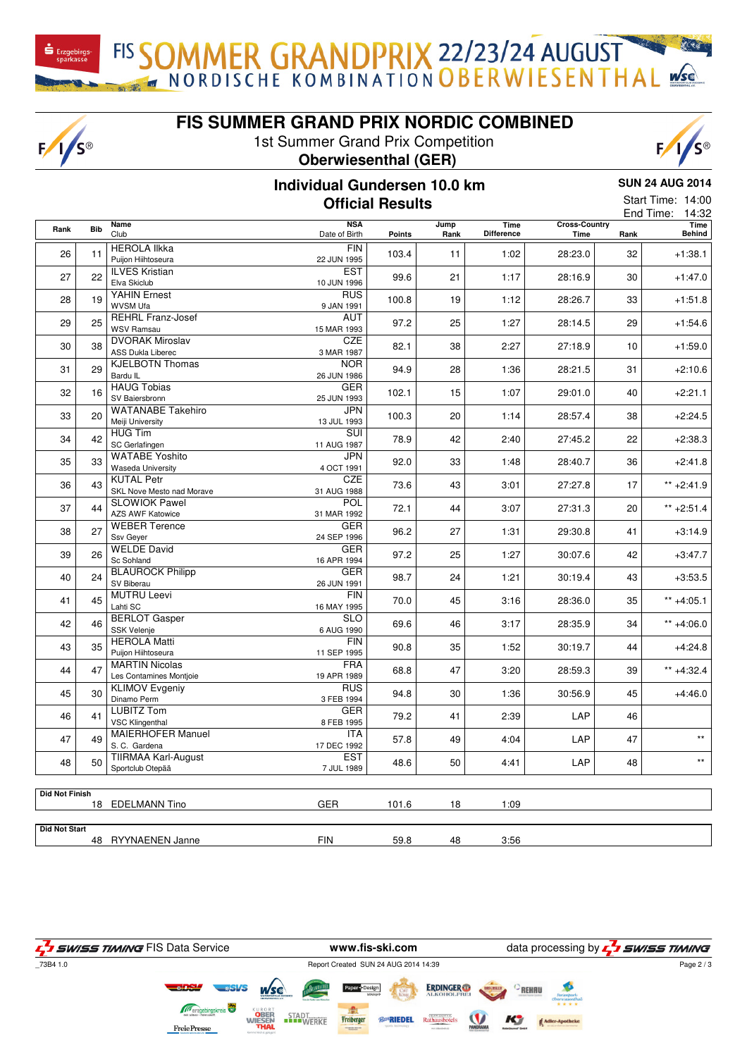$F/I/S^{\circledcirc}$ 

**FIS SUMMER GRAND PRIX NORDIC COMBINED**

FIS SOMMER GRANDPRIX 22/23/24 AUGUST

1st Summer Grand Prix Competition **Oberwiesenthal (GER)**



## **Individual Gundersen 10.0 km Official Results**

**SUN 24 AUG 2014** Start Time: 14:00

|                       |            |                                                    |                             |        |              |                           |                              |      | 14:32<br>End Time:    |  |  |
|-----------------------|------------|----------------------------------------------------|-----------------------------|--------|--------------|---------------------------|------------------------------|------|-----------------------|--|--|
| Rank                  | <b>Bib</b> | <b>Name</b><br>Club                                | <b>NSA</b><br>Date of Birth | Points | Jump<br>Rank | Time<br><b>Difference</b> | <b>Cross-Country</b><br>Time | Rank | <b>Time</b><br>Behind |  |  |
| 26                    | 11         | <b>HEROLA IIkka</b><br>Puijon Hiihtoseura          | <b>FIN</b><br>22 JUN 1995   | 103.4  | 11           | 1:02                      | 28:23.0                      | 32   | $+1:38.1$             |  |  |
| 27                    | 22         | <b>ILVES Kristian</b><br>Elva Skiclub              | <b>EST</b><br>10 JUN 1996   | 99.6   | 21           | 1:17                      | 28:16.9                      | 30   | $+1:47.0$             |  |  |
| 28                    | 19         | <b>YAHIN Ernest</b><br>WVSM Ufa                    | <b>RUS</b><br>9 JAN 1991    | 100.8  | 19           | 1:12                      | 28:26.7                      | 33   | $+1:51.8$             |  |  |
| 29                    | 25         | <b>REHRL Franz-Josef</b><br><b>WSV Ramsau</b>      | <b>AUT</b><br>15 MAR 1993   | 97.2   | 25           | 1:27                      | 28:14.5                      | 29   | $+1:54.6$             |  |  |
| 30                    | 38         | <b>DVORAK Miroslav</b><br><b>ASS Dukla Liberec</b> | <b>CZE</b><br>3 MAR 1987    | 82.1   | 38           | 2:27                      | 27:18.9                      | 10   | $+1:59.0$             |  |  |
| 31                    | 29         | <b>KJELBOTN Thomas</b><br>Bardu IL                 | <b>NOR</b><br>26 JUN 1986   | 94.9   | 28           | 1:36                      | 28:21.5                      | 31   | $+2:10.6$             |  |  |
| 32                    | 16         | <b>HAUG Tobias</b><br>SV Baiersbronn               | <b>GER</b><br>25 JUN 1993   | 102.1  | 15           | 1:07                      | 29:01.0                      | 40   | $+2:21.1$             |  |  |
| 33                    | 20         | <b>WATANABE Takehiro</b><br>Meiji University       | <b>JPN</b><br>13 JUL 1993   | 100.3  | 20           | 1:14                      | 28:57.4                      | 38   | $+2:24.5$             |  |  |
| 34                    | 42         | <b>HUG Tim</b><br>SC Gerlafingen                   | SUI<br>11 AUG 1987          | 78.9   | 42           | 2:40                      | 27:45.2                      | 22   | $+2:38.3$             |  |  |
| 35                    | 33         | <b>WATABE Yoshito</b><br>Waseda University         | JPN<br>4 OCT 1991           | 92.0   | 33           | 1:48                      | 28:40.7                      | 36   | $+2:41.8$             |  |  |
| 36                    | 43         | <b>KUTAL Petr</b><br>SKL Nove Mesto nad Morave     | <b>CZE</b><br>31 AUG 1988   | 73.6   | 43           | 3:01                      | 27:27.8                      | 17   | $** +2:41.9$          |  |  |
| 37                    | 44         | <b>SLOWIOK Pawel</b><br><b>AZS AWF Katowice</b>    | POL<br>31 MAR 1992          | 72.1   | 44           | 3:07                      | 27:31.3                      | 20   | $** + 2:51.4$         |  |  |
| 38                    | 27         | <b>WEBER Terence</b><br>Ssv Gever                  | GER<br>24 SEP 1996          | 96.2   | 27           | 1:31                      | 29:30.8                      | 41   | $+3:14.9$             |  |  |
| 39                    | 26         | <b>WELDE David</b><br>Sc Sohland                   | GER<br>16 APR 1994          | 97.2   | 25           | 1:27                      | 30:07.6                      | 42   | $+3:47.7$             |  |  |
| 40                    | 24         | <b>BLAUROCK Philipp</b><br>SV Biberau              | GER<br>26 JUN 1991          | 98.7   | 24           | 1:21                      | 30:19.4                      | 43   | $+3:53.5$             |  |  |
| 41                    | 45         | <b>MUTRU Leevi</b><br>Lahti SC                     | <b>FIN</b><br>16 MAY 1995   | 70.0   | 45           | 3:16                      | 28:36.0                      | 35   | $** +4:05.1$          |  |  |
| 42                    | 46         | <b>BERLOT Gasper</b><br><b>SSK Velenje</b>         | <b>SLO</b><br>6 AUG 1990    | 69.6   | 46           | 3:17                      | 28:35.9                      | 34   | $** +4:06.0$          |  |  |
| 43                    | 35         | <b>HEROLA Matti</b><br>Puijon Hiihtoseura          | <b>FIN</b><br>11 SEP 1995   | 90.8   | 35           | 1:52                      | 30:19.7                      | 44   | $+4:24.8$             |  |  |
| 44                    | 47         | <b>MARTIN Nicolas</b><br>Les Contamines Montjoie   | <b>FRA</b><br>19 APR 1989   | 68.8   | 47           | 3:20                      | 28:59.3                      | 39   | $** +4:32.4$          |  |  |
| 45                    | 30         | <b>KLIMOV Evgeniy</b><br>Dinamo Perm               | <b>RUS</b><br>3 FEB 1994    | 94.8   | 30           | 1:36                      | 30:56.9                      | 45   | $+4:46.0$             |  |  |
| 46                    | 41         | <b>LUBITZ Tom</b><br><b>VSC Klingenthal</b>        | <b>GER</b><br>8 FEB 1995    | 79.2   | 41           | 2:39                      | LAP                          | 46   |                       |  |  |
| 47                    | 49         | <b>MAIERHOFER Manuel</b><br>S.C. Gardena           | ITA<br>17 DEC 1992          | 57.8   | 49           | 4:04                      | LAP                          | 47   | $\star\star$          |  |  |
| 48                    | 50         | <b>TIIRMAA Karl-August</b><br>Sportclub Otepää     | <b>EST</b><br>7 JUL 1989    | 48.6   | 50           | 4:41                      | LAP                          | 48   | $\star\star$          |  |  |
|                       |            |                                                    |                             |        |              |                           |                              |      |                       |  |  |
| <b>Did Not Finish</b> |            | 18 EDELMANN Tino                                   | <b>GER</b>                  | 101.6  | 18           | 1:09                      |                              |      |                       |  |  |
| <b>Did Not Start</b>  |            | 48 RYYNAENEN Janne                                 | <b>FIN</b>                  | 59.8   | 48           | 3:56                      |                              |      |                       |  |  |
|                       |            |                                                    |                             |        |              |                           |                              |      |                       |  |  |